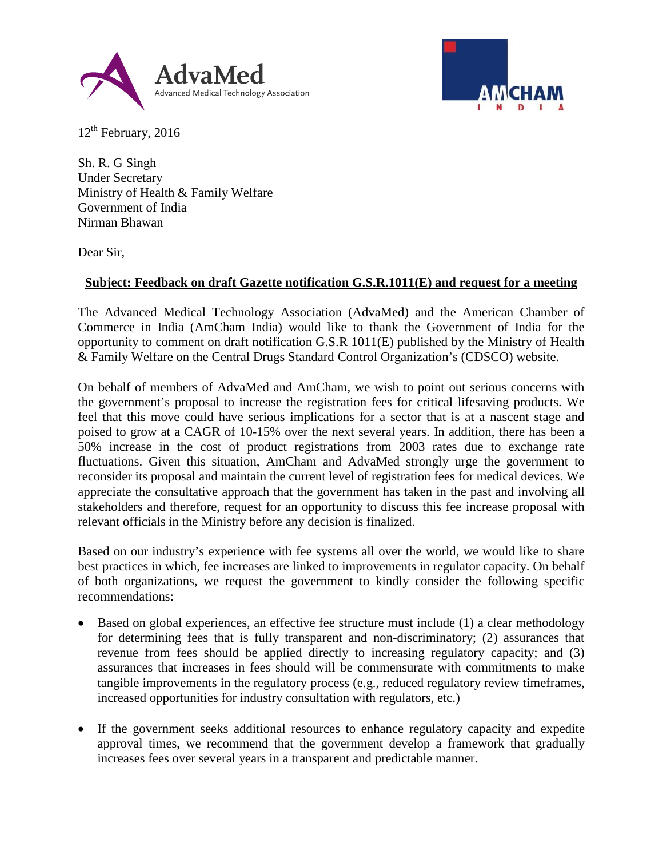



 $12<sup>th</sup>$  February, 2016

Sh. R. G Singh Under Secretary Ministry of Health & Family Welfare Government of India Nirman Bhawan

Dear Sir,

## **Subject: Feedback on draft Gazette notification G.S.R.1011(E) and request for a meeting**

The Advanced Medical Technology Association (AdvaMed) and the American Chamber of Commerce in India (AmCham India) would like to thank the Government of India for the opportunity to comment on draft notification G.S.R 1011(E) published by the Ministry of Health & Family Welfare on the Central Drugs Standard Control Organization's (CDSCO) website.

On behalf of members of AdvaMed and AmCham, we wish to point out serious concerns with the government's proposal to increase the registration fees for critical lifesaving products. We feel that this move could have serious implications for a sector that is at a nascent stage and poised to grow at a CAGR of 10-15% over the next several years. In addition, there has been a 50% increase in the cost of product registrations from 2003 rates due to exchange rate fluctuations. Given this situation, AmCham and AdvaMed strongly urge the government to reconsider its proposal and maintain the current level of registration fees for medical devices. We appreciate the consultative approach that the government has taken in the past and involving all stakeholders and therefore, request for an opportunity to discuss this fee increase proposal with relevant officials in the Ministry before any decision is finalized.

Based on our industry's experience with fee systems all over the world, we would like to share best practices in which, fee increases are linked to improvements in regulator capacity. On behalf of both organizations, we request the government to kindly consider the following specific recommendations:

- Based on global experiences, an effective fee structure must include (1) a clear methodology for determining fees that is fully transparent and non-discriminatory; (2) assurances that revenue from fees should be applied directly to increasing regulatory capacity; and (3) assurances that increases in fees should will be commensurate with commitments to make tangible improvements in the regulatory process (e.g., reduced regulatory review timeframes, increased opportunities for industry consultation with regulators, etc.)
- If the government seeks additional resources to enhance regulatory capacity and expedite approval times, we recommend that the government develop a framework that gradually increases fees over several years in a transparent and predictable manner.